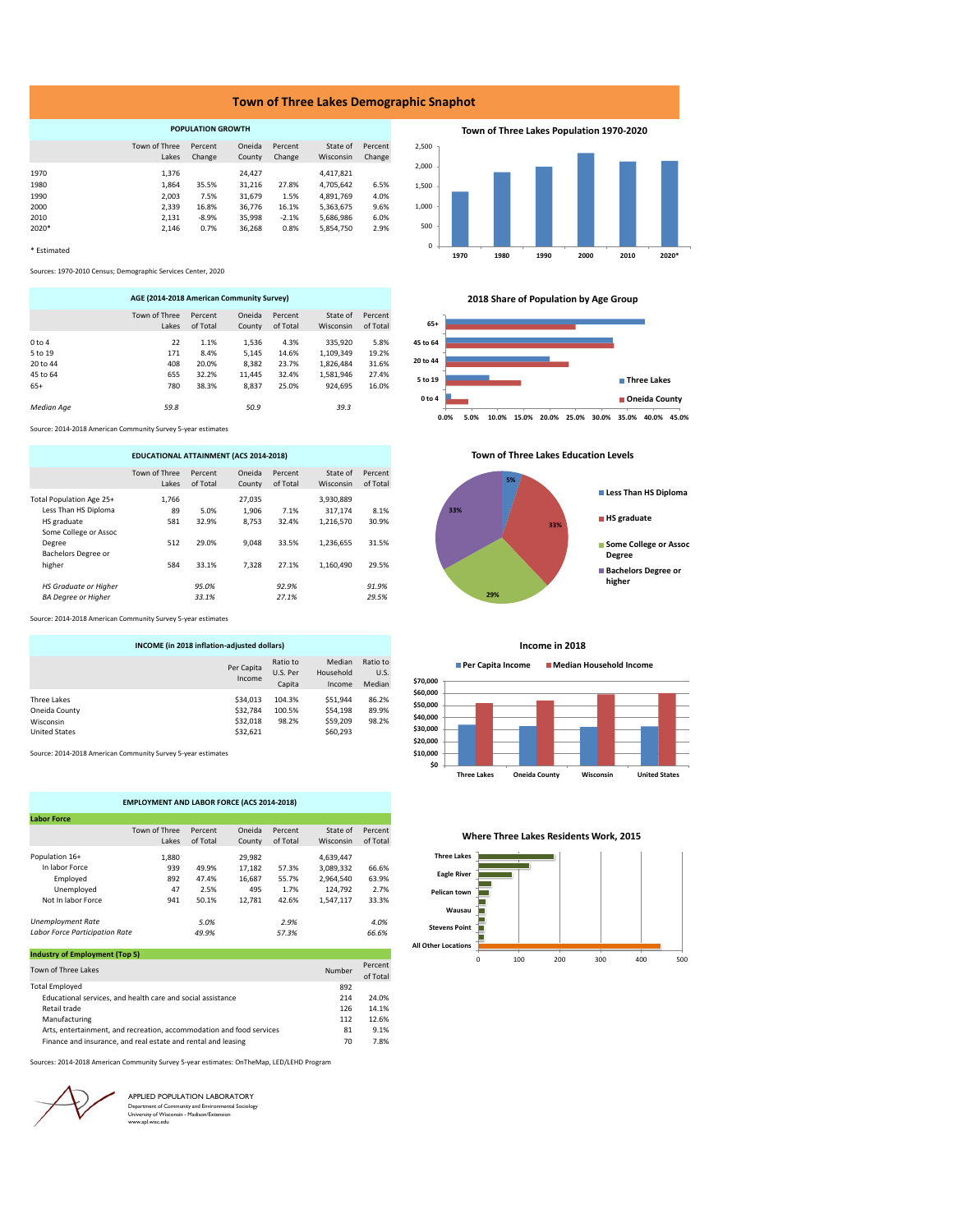#### **Town of Three Lakes Demographic Snaphot**

| <b>POPULATION GROWTH</b> |               |         |        |         |           |         |  |
|--------------------------|---------------|---------|--------|---------|-----------|---------|--|
|                          | Town of Three | Percent | Oneida | Percent | State of  | Percent |  |
|                          | Lakes         | Change  | County | Change  | Wisconsin | Change  |  |
| 1970                     | 1.376         |         | 24.427 |         | 4.417.821 |         |  |
| 1980                     | 1,864         | 35.5%   | 31,216 | 27.8%   | 4,705,642 | 6.5%    |  |
| 1990                     | 2.003         | 7.5%    | 31.679 | 1.5%    | 4,891,769 | 4.0%    |  |
| 2000                     | 2.339         | 16.8%   | 36.776 | 16.1%   | 5,363,675 | 9.6%    |  |
| 2010                     | 2.131         | $-8.9%$ | 35.998 | $-2.1%$ | 5.686.986 | 6.0%    |  |
| 2020*                    | 2,146         | 0.7%    | 36.268 | 0.8%    | 5,854,750 | 2.9%    |  |
|                          |               |         |        |         |           |         |  |

\* Estimated

Sources: 1970-2010 Census; Demographic Services Center, 2020

| AGE (2014-2018 American Community Survey) |                        |                     |                  |                     |                              |                     |  |
|-------------------------------------------|------------------------|---------------------|------------------|---------------------|------------------------------|---------------------|--|
|                                           | Town of Three<br>Lakes | Percent<br>of Total | Oneida<br>County | Percent<br>of Total | State of<br><b>Wisconsin</b> | Percent<br>of Total |  |
| 0 to 4                                    | 22                     | 1.1%                | 1.536            | 4.3%                | 335.920                      | 5.8%                |  |
| 5 to 19                                   | 171                    | 8.4%                | 5.145            | 14.6%               | 1.109.349                    | 19.2%               |  |
| 20 to 44                                  | 408                    | 20.0%               | 8.382            | 23.7%               | 1,826,484                    | 31.6%               |  |
| 45 to 64                                  | 655                    | 32.2%               | 11.445           | 32.4%               | 1.581.946                    | 27.4%               |  |
| $65+$                                     | 780                    | 38.3%               | 8.837            | 25.0%               | 924.695                      | 16.0%               |  |
| <b>Median Age</b>                         | 59.8                   |                     | 50.9             |                     | 39.3                         |                     |  |

Source: 2014-2018 American Community Survey 5-year estimates

| EDUCATIONAL ATTAINMENT (ACS 2014-2018) |                        |                     |                  |                     |                       |                     |  |
|----------------------------------------|------------------------|---------------------|------------------|---------------------|-----------------------|---------------------|--|
|                                        | Town of Three<br>lakes | Percent<br>of Total | Oneida<br>County | Percent<br>of Total | State of<br>Wisconsin | Percent<br>of Total |  |
| Total Population Age 25+               | 1.766                  |                     | 27.035           |                     | 3,930,889             |                     |  |
| Less Than HS Diploma                   | 89                     | 5.0%                | 1.906            | 7.1%                | 317,174               | 8.1%                |  |
| HS graduate                            | 581                    | 32.9%               | 8.753            | 32.4%               | 1.216.570             | 30.9%               |  |
| Some College or Assoc                  |                        |                     |                  |                     |                       |                     |  |
| Degree                                 | 512                    | 29.0%               | 9.048            | 33.5%               | 1.236.655             | 31.5%               |  |
| Bachelors Degree or                    |                        |                     |                  |                     |                       |                     |  |
| higher                                 | 584                    | 33.1%               | 7.328            | 27.1%               | 1.160.490             | 29.5%               |  |
| <b>HS Graduate or Higher</b>           |                        | 95.0%               |                  | 92.9%               |                       | 91.9%               |  |
| <b>BA Dearee or Higher</b>             |                        | 33.1%               |                  | 27.1%               |                       | 29.5%               |  |

Source: 2014-2018 American Community Survey 5-year estimates

| INCOME (in 2018 inflation-adjusted dollars)                       |                                              |                                |                                              |                            |  |  |
|-------------------------------------------------------------------|----------------------------------------------|--------------------------------|----------------------------------------------|----------------------------|--|--|
|                                                                   | Per Capita<br>Income                         | Ratio to<br>U.S. Per<br>Capita | Median<br>Household<br>Income                | Ratio to<br>U.S.<br>Median |  |  |
| Three Lakes<br>Oneida County<br>Wisconsin<br><b>United States</b> | \$34,013<br>\$32,784<br>\$32,018<br>\$32,621 | 104.3%<br>100.5%<br>98.2%      | \$51.944<br>\$54.198<br>\$59,209<br>\$60,293 | 86.2%<br>89.9%<br>98.2%    |  |  |

Source: 2014-2018 American Community Survey 5-year estimates

| <b>EMPLOYMENT AND LABOR FORCE (ACS 2014-2018)</b> |               |          |        |          |           |          |  |
|---------------------------------------------------|---------------|----------|--------|----------|-----------|----------|--|
| <b>Labor Force</b>                                |               |          |        |          |           |          |  |
|                                                   | Town of Three | Percent  | Oneida | Percent  | State of  | Percent  |  |
|                                                   | Lakes         | of Total | County | of Total | Wisconsin | of Total |  |
| Population 16+                                    | 1.880         |          | 29.982 |          | 4,639,447 |          |  |
| In Jabor Force                                    | 939           | 49.9%    | 17.182 | 57.3%    | 3.089.332 | 66.6%    |  |
| Emploved                                          | 892           | 47.4%    | 16.687 | 55.7%    | 2.964.540 | 63.9%    |  |
| Unemployed                                        | 47            | 2.5%     | 495    | 1.7%     | 124.792   | 2.7%     |  |
| Not In labor Force                                | 941           | 50.1%    | 12.781 | 42.6%    | 1.547.117 | 33.3%    |  |
| <b>Unemployment Rate</b>                          |               | 5.0%     |        | 2.9%     |           | 4.0%     |  |
| <b>Labor Force Participation Rate</b>             |               | 49.9%    |        | 57.3%    |           | 66.6%    |  |

| <b>Industry of Employment (Top 5)</b>                                |        |                     |
|----------------------------------------------------------------------|--------|---------------------|
| Town of Three Lakes                                                  | Number | Percent<br>of Total |
| <b>Total Employed</b>                                                | 892    |                     |
| Educational services, and health care and social assistance          | 214    | 24.0%               |
| Retail trade                                                         | 126    | 14.1%               |
| Manufacturing                                                        | 112    | 12.6%               |
| Arts, entertainment, and recreation, accommodation and food services | 81     | 9.1%                |
| Finance and insurance, and real estate and rental and leasing        | 70     | 7.8%                |

Sources: 2014-2018 American Community Survey 5-year estimates: OnTheMap, LED/LEHD Program

APPLIED POPULATION LABORATORY Department of Community and Environmental Sociology University of Wisconsin - Madison/Extension www.apl.wisc.edu **2018 Share of Population by Age Group**

**1970 1980 1990 2000 2010 2020\***

**Town of Three Lakes Population 1970-2020**



**Town of Three Lakes Education Levels** 



**Income in 2018**

**Per Capita Income Median Household Income**



**Where Three Lakes Residents Work, 2015**